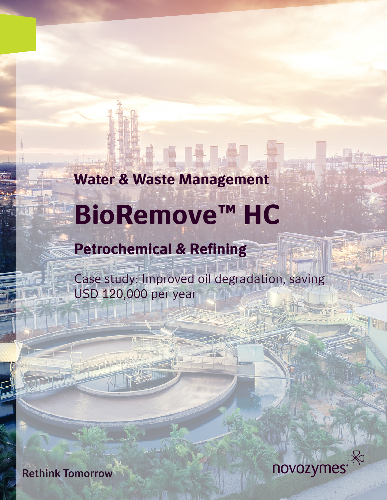## Water & Waste Management

# BioRemove™ HC

# Petrochemical & Refining

Case study: Improved oil degradation, saving USD 120,000 per year



**Rethink Tomorrow**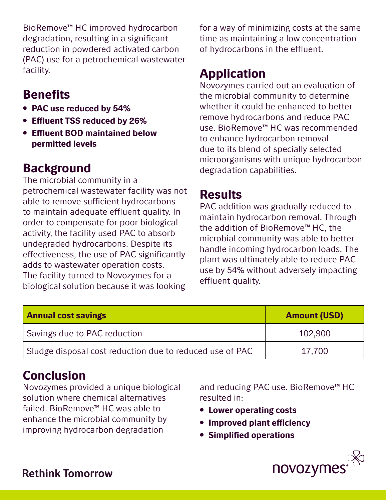BioRemove™ HC improved hydrocarbon degradation, resulting in a significant reduction in powdered activated carbon (PAC) use for a petrochemical wastewater facility.

### **Benefits**

- PAC use reduced by 54%
- Effluent TSS reduced by 26%
- Effluent BOD maintained below permitted levels

### Background

The microbial community in a petrochemical wastewater facility was not able to remove sufficient hydrocarbons to maintain adequate effluent quality. In order to compensate for poor biological activity, the facility used PAC to absorb undegraded hydrocarbons. Despite its effectiveness, the use of PAC significantly adds to wastewater operation costs. The facility turned to Novozymes for a biological solution because it was looking

for a way of minimizing costs at the same time as maintaining a low concentration of hydrocarbons in the effluent.

### Application

Novozymes carried out an evaluation of the microbial community to determine whether it could be enhanced to better remove hydrocarbons and reduce PAC use. BioRemove™ HC was recommended to enhance hydrocarbon removal due to its blend of specially selected microorganisms with unique hydrocarbon degradation capabilities.

#### **Results**

PAC addition was gradually reduced to maintain hydrocarbon removal. Through the addition of BioRemove™ HC, the microbial community was able to better handle incoming hydrocarbon loads. The plant was ultimately able to reduce PAC use by 54% without adversely impacting effluent quality.

| <b>Annual cost savings</b>                               | <b>Amount (USD)</b> |
|----------------------------------------------------------|---------------------|
| Savings due to PAC reduction                             | 102,900             |
| Sludge disposal cost reduction due to reduced use of PAC | 17,700              |

### **Conclusion**

Novozymes provided a unique biological solution where chemical alternatives failed. BioRemove™ HC was able to enhance the microbial community by improving hydrocarbon degradation

and reducing PAC use. BioRemove™ HC resulted in:

- Lower operating costs
- Improved plant efficiency
- Simplified operations



#### **Rethink Tomorrow**